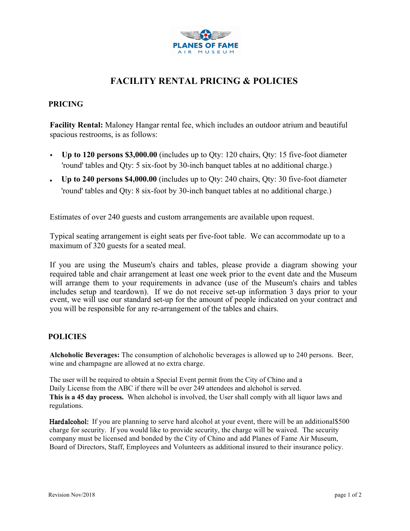

# **FACILITY RENTAL PRICING & POLICIES**

## **PRICING**

**Facility Rental:** Maloney Hangar rental fee, which includes an outdoor atrium and beautiful spacious restrooms, is as follows:

- **Up to 120 persons \$3,000.00** (includes up to Qty: 120 chairs, Qty: 15 five-foot diameter 'round' tables and Qty: 5 six-foot by 30-inch banquet tables at no additional charge.)
- **Up to 240 persons \$4,000.00** (includes up to Qty: 240 chairs, Qty: 30 five-foot diameter 'round' tables and Qty: 8 six-foot by 30-inch banquet tables at no additional charge.)

Estimates of over 240 guests and custom arrangements are available upon request.

Typical seating arrangement is eight seats per five-foot table. We can accommodate up to a maximum of 320 guests for a seated meal.

If you are using the Museum's chairs and tables, please provide a diagram showing your required table and chair arrangement at least one week prior to the event date and the Museum will arrange them to your requirements in advance (use of the Museum's chairs and tables includes setup and teardown). If we do not receive set-up information 3 days prior to your event, we will use our standard set-up for the amount of people indicated on your contract and you will be responsible for any re-arrangement of the tables and chairs.

## **POLICIES**

**Alchoholic Beverages:** The consumption of alchoholic beverages is allowed up to 240 persons. Beer, wine and champagne are allowed at no extra charge.

The user will be required to obtain a Special Event permit from the City of Chino and a Daily License from the ABC if there will be over 249 attendees and alchohol is served. **This is a 45 day process.** When alchohol is involved, the User shall comply with all liquor laws and regulations.

Hard alcohol: If you are planning to serve hard alcohol at your event, there will be an additional \$500 charge for security. If you would like to provide security, the charge will be waived. The security company must be licensed and bonded by the City of Chino and add Planes of Fame Air Museum, Board of Directors, Staff, Employees and Volunteers as additional insured to their insurance policy.